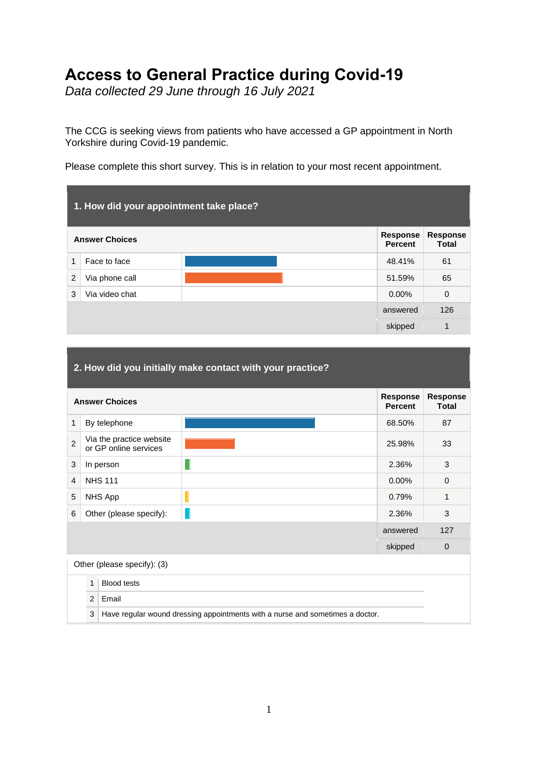# **Access to General Practice during Covid-19**

*Data collected 29 June through 16 July 2021*

The CCG is seeking views from patients who have accessed a GP appointment in North Yorkshire during Covid-19 pandemic.

Please complete this short survey. This is in relation to your most recent appointment.

| 1. How did your appointment take place?                                                       |                |          |             |  |
|-----------------------------------------------------------------------------------------------|----------------|----------|-------------|--|
| <b>Response</b><br><b>Response</b><br><b>Answer Choices</b><br><b>Total</b><br><b>Percent</b> |                |          |             |  |
| 1                                                                                             | Face to face   | 48.41%   | 61          |  |
| $\overline{2}$                                                                                | Via phone call | 51.59%   | 65          |  |
| 3                                                                                             | Via video chat | $0.00\%$ | $\mathbf 0$ |  |
|                                                                                               |                | answered | 126         |  |
|                                                                                               |                | skipped  | 1           |  |

| 2. How did you initially make contact with your practice? |                                                     |                                                   |                                                                               |                                 |             |
|-----------------------------------------------------------|-----------------------------------------------------|---------------------------------------------------|-------------------------------------------------------------------------------|---------------------------------|-------------|
|                                                           | Response<br><b>Answer Choices</b><br><b>Percent</b> |                                                   |                                                                               | <b>Response</b><br><b>Total</b> |             |
| 1                                                         |                                                     | By telephone                                      |                                                                               | 68.50%                          | 87          |
| $\overline{2}$                                            |                                                     | Via the practice website<br>or GP online services |                                                                               | 25.98%                          | 33          |
| 3                                                         |                                                     | In person                                         |                                                                               | 2.36%                           | 3           |
| 4                                                         |                                                     | <b>NHS 111</b>                                    |                                                                               | $0.00\%$                        | $\Omega$    |
| 5                                                         |                                                     | NHS App                                           |                                                                               | 0.79%                           | 1           |
| 6                                                         |                                                     | Other (please specify):                           |                                                                               | 2.36%                           | 3           |
|                                                           |                                                     |                                                   |                                                                               | answered                        | 127         |
|                                                           |                                                     |                                                   |                                                                               | skipped                         | $\mathbf 0$ |
| Other (please specify): (3)                               |                                                     |                                                   |                                                                               |                                 |             |
|                                                           | $\mathbf{1}$                                        | <b>Blood tests</b>                                |                                                                               |                                 |             |
|                                                           | 2                                                   | Email                                             |                                                                               |                                 |             |
|                                                           | 3                                                   |                                                   | Have regular wound dressing appointments with a nurse and sometimes a doctor. |                                 |             |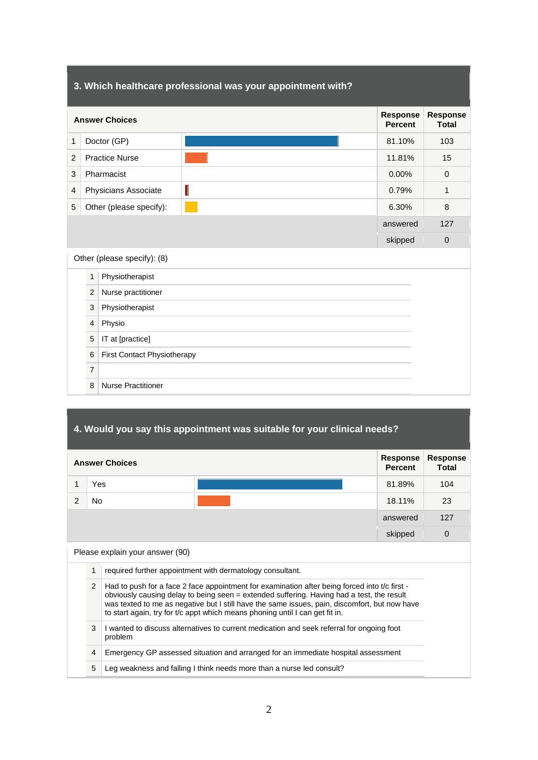# **3. Which healthcare professional was your appointment with? Answer Choices Response Percent Response Total** 1 Doctor (GP) 81.10% 103 2 Practice Nurse 11.81% 15 3 Pharmacist 0.00% 0 4 Physicians Associate 1. The contract of the contract of the contract of the contract of the contract of the contract of the contract of the contract of the contract of the contract of the contract of the contract of the 5 Other (please specify):  $\sqrt{8}$  6.30% 8 answered 127 skipped 0 Other (please specify): (8) 1 Physiotherapist 2 Nurse practitioner 3 Physiotherapist 4 Physio 5 | IT at [practice] 6 First Contact Physiotherapy 7 8 Nurse Practitioner

## **4. Would you say this appointment was suitable for your clinical needs?**

| <b>Answer Choices</b> |     |  | Response<br><b>Percent</b> | <b>Response</b><br><b>Total</b> |
|-----------------------|-----|--|----------------------------|---------------------------------|
|                       | Yes |  | 81.89%                     | 104                             |
| ົ                     | No  |  | 18.11%                     | 23                              |
|                       |     |  | answered                   | 127                             |
|                       |     |  | skipped                    | $\mathbf 0$                     |

Please explain your answer (90)

- 1 required further appointment with dermatology consultant.
- 2 Had to push for a face 2 face appointment for examination after being forced into t/c first obviously causing delay to being seen = extended suffering. Having had a test, the result was texted to me as negative but I still have the same issues, pain, discomfort, but now have to start again, try for t/c appt which means phoning until I can get fit in.
- 3 I wanted to discuss alternatives to current medication and seek referral for ongoing foot problem

4 Emergency GP assessed situation and arranged for an immediate hospital assessment

5 Leg weakness and falling I think needs more than a nurse led consult?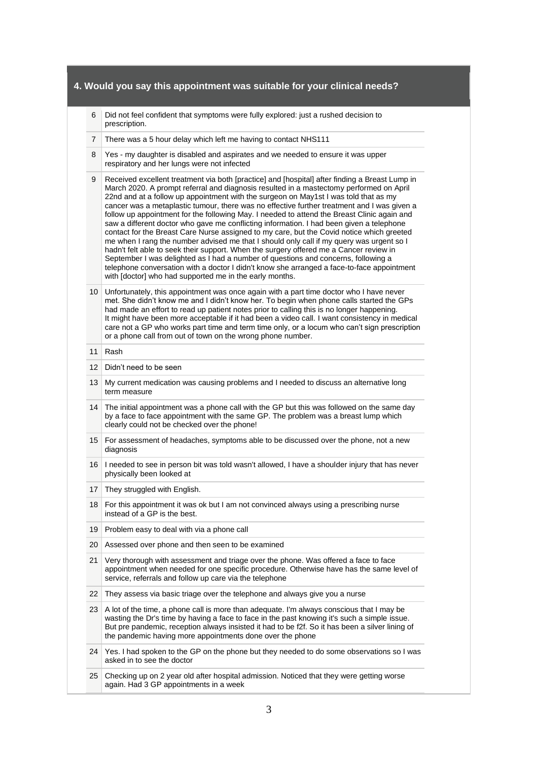- 6 Did not feel confident that symptoms were fully explored: just a rushed decision to prescription.
- 7 There was a 5 hour delay which left me having to contact NHS111
- 8 Yes my daughter is disabled and aspirates and we needed to ensure it was upper respiratory and her lungs were not infected
- 9 Received excellent treatment via both [practice] and [hospital] after finding a Breast Lump in March 2020. A prompt referral and diagnosis resulted in a mastectomy performed on April 22nd and at a follow up appointment with the surgeon on May1st I was told that as my cancer was a metaplastic tumour, there was no effective further treatment and I was given a follow up appointment for the following May. I needed to attend the Breast Clinic again and saw a different doctor who gave me conflicting information. I had been given a telephone contact for the Breast Care Nurse assigned to my care, but the Covid notice which greeted me when I rang the number advised me that I should only call if my query was urgent so I hadn't felt able to seek their support. When the surgery offered me a Cancer review in September I was delighted as I had a number of questions and concerns, following a telephone conversation with a doctor I didn't know she arranged a face-to-face appointment with [doctor] who had supported me in the early months.
- 10 Unfortunately, this appointment was once again with a part time doctor who I have never met. She didn't know me and I didn't know her. To begin when phone calls started the GPs had made an effort to read up patient notes prior to calling this is no longer happening. It might have been more acceptable if it had been a video call. I want consistency in medical care not a GP who works part time and term time only, or a locum who can't sign prescription or a phone call from out of town on the wrong phone number.
- 11 Rash
- 12 | Didn't need to be seen
- 13 My current medication was causing problems and I needed to discuss an alternative long term measure
- 14 The initial appointment was a phone call with the GP but this was followed on the same day by a face to face appointment with the same GP. The problem was a breast lump which clearly could not be checked over the phone!
- 15 For assessment of headaches, symptoms able to be discussed over the phone, not a new diagnosis
- 16 I needed to see in person bit was told wasn't allowed, I have a shoulder injury that has never physically been looked at
- 17 They struggled with English.
- 18 For this appointment it was ok but I am not convinced always using a prescribing nurse instead of a GP is the best.
- 19 Problem easy to deal with via a phone call
- 20 Assessed over phone and then seen to be examined
- 21 Very thorough with assessment and triage over the phone. Was offered a face to face appointment when needed for one specific procedure. Otherwise have has the same level of service, referrals and follow up care via the telephone
- 22 They assess via basic triage over the telephone and always give you a nurse
- 23 A lot of the time, a phone call is more than adequate. I'm always conscious that I may be wasting the Dr's time by having a face to face in the past knowing it's such a simple issue. But pre pandemic, reception always insisted it had to be f2f. So it has been a silver lining of the pandemic having more appointments done over the phone
- 24 Yes. I had spoken to the GP on the phone but they needed to do some observations so I was asked in to see the doctor
- 25 Checking up on 2 year old after hospital admission. Noticed that they were getting worse again. Had 3 GP appointments in a week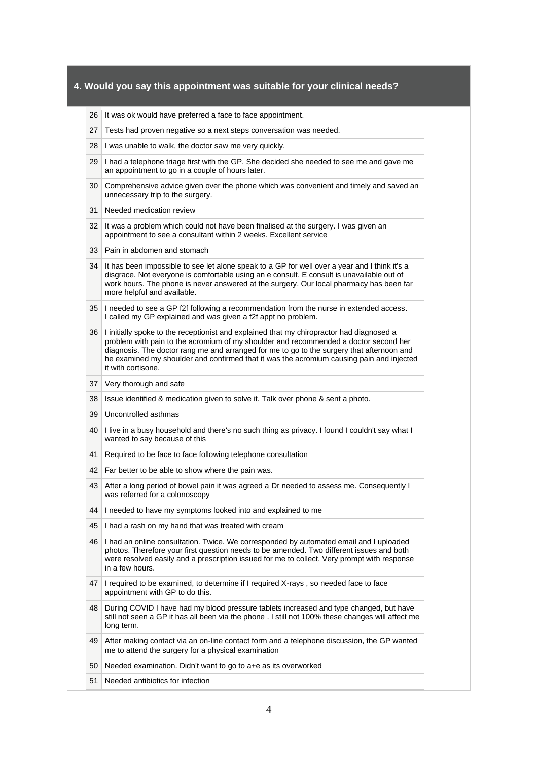| 26 | It was ok would have preferred a face to face appointment.                                                                                                                                                                                                                                                                                                                                      |  |  |
|----|-------------------------------------------------------------------------------------------------------------------------------------------------------------------------------------------------------------------------------------------------------------------------------------------------------------------------------------------------------------------------------------------------|--|--|
| 27 | Tests had proven negative so a next steps conversation was needed.                                                                                                                                                                                                                                                                                                                              |  |  |
| 28 | I was unable to walk, the doctor saw me very quickly.                                                                                                                                                                                                                                                                                                                                           |  |  |
| 29 | I had a telephone triage first with the GP. She decided she needed to see me and gave me<br>an appointment to go in a couple of hours later.                                                                                                                                                                                                                                                    |  |  |
| 30 | Comprehensive advice given over the phone which was convenient and timely and saved an<br>unnecessary trip to the surgery.                                                                                                                                                                                                                                                                      |  |  |
| 31 | Needed medication review                                                                                                                                                                                                                                                                                                                                                                        |  |  |
| 32 | It was a problem which could not have been finalised at the surgery. I was given an<br>appointment to see a consultant within 2 weeks. Excellent service                                                                                                                                                                                                                                        |  |  |
| 33 | Pain in abdomen and stomach                                                                                                                                                                                                                                                                                                                                                                     |  |  |
| 34 | It has been impossible to see let alone speak to a GP for well over a year and I think it's a<br>disgrace. Not everyone is comfortable using an e consult. E consult is unavailable out of<br>work hours. The phone is never answered at the surgery. Our local pharmacy has been far<br>more helpful and available.                                                                            |  |  |
| 35 | I needed to see a GP f2f following a recommendation from the nurse in extended access.<br>I called my GP explained and was given a f2f appt no problem.                                                                                                                                                                                                                                         |  |  |
| 36 | I initially spoke to the receptionist and explained that my chiropractor had diagnosed a<br>problem with pain to the acromium of my shoulder and recommended a doctor second her<br>diagnosis. The doctor rang me and arranged for me to go to the surgery that afternoon and<br>he examined my shoulder and confirmed that it was the acromium causing pain and injected<br>it with cortisone. |  |  |
| 37 | Very thorough and safe                                                                                                                                                                                                                                                                                                                                                                          |  |  |
| 38 | Issue identified & medication given to solve it. Talk over phone & sent a photo.                                                                                                                                                                                                                                                                                                                |  |  |
| 39 | Uncontrolled asthmas                                                                                                                                                                                                                                                                                                                                                                            |  |  |
| 40 | I live in a busy household and there's no such thing as privacy. I found I couldn't say what I<br>wanted to say because of this                                                                                                                                                                                                                                                                 |  |  |
| 41 |                                                                                                                                                                                                                                                                                                                                                                                                 |  |  |
|    | Required to be face to face following telephone consultation                                                                                                                                                                                                                                                                                                                                    |  |  |
| 42 | Far better to be able to show where the pain was.                                                                                                                                                                                                                                                                                                                                               |  |  |
| 43 | After a long period of bowel pain it was agreed a Dr needed to assess me. Consequently I<br>was referred for a colonoscopy                                                                                                                                                                                                                                                                      |  |  |
| 44 | I needed to have my symptoms looked into and explained to me                                                                                                                                                                                                                                                                                                                                    |  |  |
| 45 | I had a rash on my hand that was treated with cream                                                                                                                                                                                                                                                                                                                                             |  |  |
| 46 | I had an online consultation. Twice. We corresponded by automated email and I uploaded<br>photos. Therefore your first question needs to be amended. Two different issues and both<br>were resolved easily and a prescription issued for me to collect. Very prompt with response<br>in a few hours.                                                                                            |  |  |
| 47 | I required to be examined, to determine if I required X-rays, so needed face to face<br>appointment with GP to do this.                                                                                                                                                                                                                                                                         |  |  |
| 48 | During COVID I have had my blood pressure tablets increased and type changed, but have<br>still not seen a GP it has all been via the phone . I still not 100% these changes will affect me<br>long term.                                                                                                                                                                                       |  |  |
| 49 | After making contact via an on-line contact form and a telephone discussion, the GP wanted<br>me to attend the surgery for a physical examination                                                                                                                                                                                                                                               |  |  |
| 50 | Needed examination. Didn't want to go to a +e as its overworked                                                                                                                                                                                                                                                                                                                                 |  |  |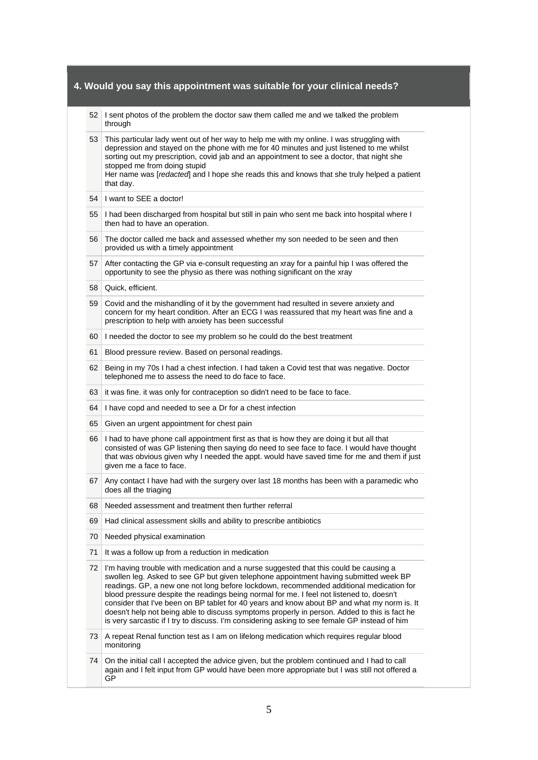|    | 52 I sent photos of the problem the doctor saw them called me and we talked the problem<br>through                                                                                                                                                                                                                                                                                                                                                                                                                                                                                                                                                                    |  |
|----|-----------------------------------------------------------------------------------------------------------------------------------------------------------------------------------------------------------------------------------------------------------------------------------------------------------------------------------------------------------------------------------------------------------------------------------------------------------------------------------------------------------------------------------------------------------------------------------------------------------------------------------------------------------------------|--|
| 53 | This particular lady went out of her way to help me with my online. I was struggling with<br>depression and stayed on the phone with me for 40 minutes and just listened to me whilst<br>sorting out my prescription, covid jab and an appointment to see a doctor, that night she<br>stopped me from doing stupid<br>Her name was [redacted] and I hope she reads this and knows that she truly helped a patient<br>that day.                                                                                                                                                                                                                                        |  |
| 54 | I want to SEE a doctor!                                                                                                                                                                                                                                                                                                                                                                                                                                                                                                                                                                                                                                               |  |
| 55 | I had been discharged from hospital but still in pain who sent me back into hospital where I<br>then had to have an operation.                                                                                                                                                                                                                                                                                                                                                                                                                                                                                                                                        |  |
| 56 | The doctor called me back and assessed whether my son needed to be seen and then<br>provided us with a timely appointment                                                                                                                                                                                                                                                                                                                                                                                                                                                                                                                                             |  |
| 57 | After contacting the GP via e-consult requesting an xray for a painful hip I was offered the<br>opportunity to see the physio as there was nothing significant on the xray                                                                                                                                                                                                                                                                                                                                                                                                                                                                                            |  |
| 58 | Quick, efficient.                                                                                                                                                                                                                                                                                                                                                                                                                                                                                                                                                                                                                                                     |  |
| 59 | Covid and the mishandling of it by the government had resulted in severe anxiety and<br>concern for my heart condition. After an ECG I was reassured that my heart was fine and a<br>prescription to help with anxiety has been successful                                                                                                                                                                                                                                                                                                                                                                                                                            |  |
| 60 | I needed the doctor to see my problem so he could do the best treatment                                                                                                                                                                                                                                                                                                                                                                                                                                                                                                                                                                                               |  |
| 61 | Blood pressure review. Based on personal readings.                                                                                                                                                                                                                                                                                                                                                                                                                                                                                                                                                                                                                    |  |
| 62 | Being in my 70s I had a chest infection. I had taken a Covid test that was negative. Doctor<br>telephoned me to assess the need to do face to face.                                                                                                                                                                                                                                                                                                                                                                                                                                                                                                                   |  |
| 63 | it was fine. it was only for contraception so didn't need to be face to face.                                                                                                                                                                                                                                                                                                                                                                                                                                                                                                                                                                                         |  |
| 64 | I have copd and needed to see a Dr for a chest infection                                                                                                                                                                                                                                                                                                                                                                                                                                                                                                                                                                                                              |  |
| 65 | Given an urgent appointment for chest pain                                                                                                                                                                                                                                                                                                                                                                                                                                                                                                                                                                                                                            |  |
| 66 | I had to have phone call appointment first as that is how they are doing it but all that<br>consisted of was GP listening then saying do need to see face to face. I would have thought<br>that was obvious given why I needed the appt. would have saved time for me and them if just<br>given me a face to face.                                                                                                                                                                                                                                                                                                                                                    |  |
| 67 | Any contact I have had with the surgery over last 18 months has been with a paramedic who<br>does all the triaging                                                                                                                                                                                                                                                                                                                                                                                                                                                                                                                                                    |  |
| 68 | Needed assessment and treatment then further referral                                                                                                                                                                                                                                                                                                                                                                                                                                                                                                                                                                                                                 |  |
| 69 | Had clinical assessment skills and ability to prescribe antibiotics                                                                                                                                                                                                                                                                                                                                                                                                                                                                                                                                                                                                   |  |
| 70 | Needed physical examination                                                                                                                                                                                                                                                                                                                                                                                                                                                                                                                                                                                                                                           |  |
| 71 | It was a follow up from a reduction in medication                                                                                                                                                                                                                                                                                                                                                                                                                                                                                                                                                                                                                     |  |
| 72 | I'm having trouble with medication and a nurse suggested that this could be causing a<br>swollen leg. Asked to see GP but given telephone appointment having submitted week BP<br>readings. GP, a new one not long before lockdown, recommended additional medication for<br>blood pressure despite the readings being normal for me. I feel not listened to, doesn't<br>consider that I've been on BP tablet for 40 years and know about BP and what my norm is. It<br>doesn't help not being able to discuss symptoms properly in person. Added to this is fact he<br>is very sarcastic if I try to discuss. I'm considering asking to see female GP instead of him |  |
| 73 | A repeat Renal function test as I am on lifelong medication which requires regular blood<br>monitoring                                                                                                                                                                                                                                                                                                                                                                                                                                                                                                                                                                |  |
| 74 | On the initial call I accepted the advice given, but the problem continued and I had to call<br>again and I felt input from GP would have been more appropriate but I was still not offered a<br>GP                                                                                                                                                                                                                                                                                                                                                                                                                                                                   |  |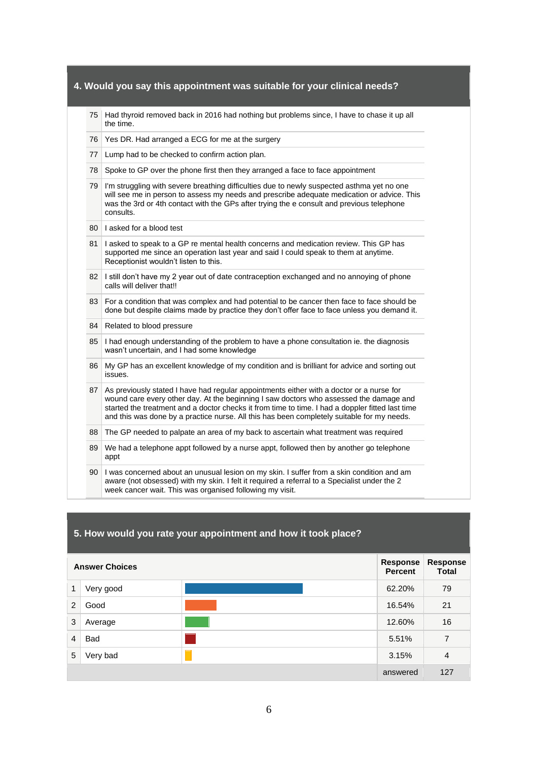| 75                                                     | Had thyroid removed back in 2016 had nothing but problems since, I have to chase it up all<br>the time.                                                                                                                                                                                                                                                                              |  |
|--------------------------------------------------------|--------------------------------------------------------------------------------------------------------------------------------------------------------------------------------------------------------------------------------------------------------------------------------------------------------------------------------------------------------------------------------------|--|
| Yes DR. Had arranged a ECG for me at the surgery<br>76 |                                                                                                                                                                                                                                                                                                                                                                                      |  |
| 77                                                     | Lump had to be checked to confirm action plan.                                                                                                                                                                                                                                                                                                                                       |  |
| 78                                                     | Spoke to GP over the phone first then they arranged a face to face appointment                                                                                                                                                                                                                                                                                                       |  |
| 79                                                     | I'm struggling with severe breathing difficulties due to newly suspected asthma yet no one<br>will see me in person to assess my needs and prescribe adequate medication or advice. This<br>was the 3rd or 4th contact with the GPs after trying the e consult and previous telephone<br>consults.                                                                                   |  |
| 80                                                     | I asked for a blood test                                                                                                                                                                                                                                                                                                                                                             |  |
| 81                                                     | I asked to speak to a GP re mental health concerns and medication review. This GP has<br>supported me since an operation last year and said I could speak to them at anytime.<br>Receptionist wouldn't listen to this.                                                                                                                                                               |  |
| 82                                                     | I still don't have my 2 year out of date contraception exchanged and no annoying of phone<br>calls will deliver that!!                                                                                                                                                                                                                                                               |  |
| 83                                                     | For a condition that was complex and had potential to be cancer then face to face should be<br>done but despite claims made by practice they don't offer face to face unless you demand it.                                                                                                                                                                                          |  |
| 84                                                     | Related to blood pressure                                                                                                                                                                                                                                                                                                                                                            |  |
| 85                                                     | I had enough understanding of the problem to have a phone consultation ie. the diagnosis<br>wasn't uncertain, and I had some knowledge                                                                                                                                                                                                                                               |  |
| 86                                                     | My GP has an excellent knowledge of my condition and is brilliant for advice and sorting out<br>issues.                                                                                                                                                                                                                                                                              |  |
| 87                                                     | As previously stated I have had regular appointments either with a doctor or a nurse for<br>wound care every other day. At the beginning I saw doctors who assessed the damage and<br>started the treatment and a doctor checks it from time to time. I had a doppler fitted last time<br>and this was done by a practice nurse. All this has been completely suitable for my needs. |  |
| 88                                                     | The GP needed to palpate an area of my back to ascertain what treatment was required                                                                                                                                                                                                                                                                                                 |  |
| 89                                                     | We had a telephone appt followed by a nurse appt, followed then by another go telephone<br>appt                                                                                                                                                                                                                                                                                      |  |
| 90                                                     | I was concerned about an unusual lesion on my skin. I suffer from a skin condition and am<br>aware (not obsessed) with my skin. I felt it required a referral to a Specialist under the 2<br>week cancer wait. This was organised following my visit.                                                                                                                                |  |

# **5. How would you rate your appointment and how it took place?**

| <b>Answer Choices</b> |           |  | Response<br><b>Percent</b> | <b>Response</b><br><b>Total</b> |
|-----------------------|-----------|--|----------------------------|---------------------------------|
| 1                     | Very good |  | 62.20%                     | 79                              |
| 2                     | Good      |  | 16.54%                     | 21                              |
| 3                     | Average   |  | 12.60%                     | 16                              |
| $\overline{4}$        | Bad       |  | 5.51%                      | 7                               |
| 5                     | Very bad  |  | 3.15%                      | $\overline{4}$                  |
|                       |           |  | answered                   | 127                             |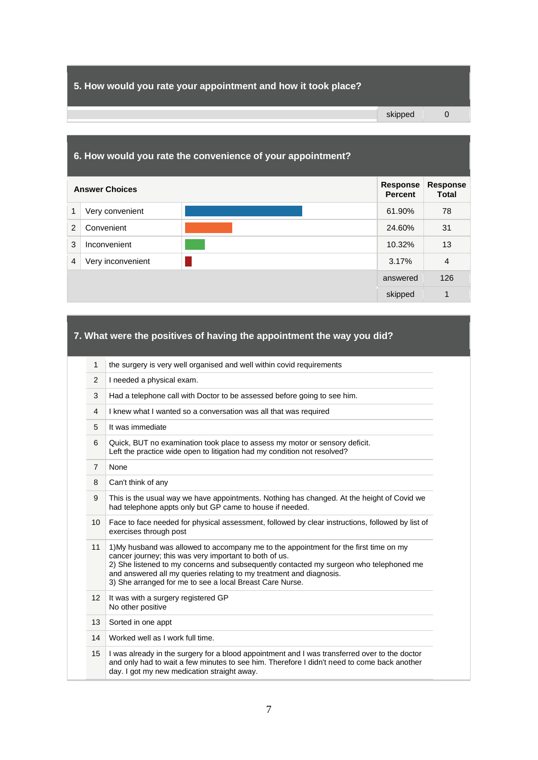## **5. How would you rate your appointment and how it took place?**

|                | 6. How would you rate the convenience of your appointment? |  |          |                                 |  |
|----------------|------------------------------------------------------------|--|----------|---------------------------------|--|
|                | <b>Answer Choices</b>                                      |  |          | <b>Response</b><br><b>Total</b> |  |
| 1              | Very convenient                                            |  | 61.90%   | 78                              |  |
| 2              | Convenient                                                 |  | 24.60%   | 31                              |  |
| 3              | Inconvenient                                               |  | 10.32%   | 13                              |  |
| $\overline{4}$ | Very inconvenient                                          |  | 3.17%    | $\overline{4}$                  |  |
|                |                                                            |  | answered | 126                             |  |
|                |                                                            |  | skipped  | 1                               |  |

# **7. What were the positives of having the appointment the way you did?**

| $\mathbf{1}$    | the surgery is very well organised and well within covid requirements                                                                                                                                                                                                                                                                                                        |  |
|-----------------|------------------------------------------------------------------------------------------------------------------------------------------------------------------------------------------------------------------------------------------------------------------------------------------------------------------------------------------------------------------------------|--|
| 2               | I needed a physical exam.                                                                                                                                                                                                                                                                                                                                                    |  |
| 3               | Had a telephone call with Doctor to be assessed before going to see him.                                                                                                                                                                                                                                                                                                     |  |
| 4               | I knew what I wanted so a conversation was all that was required                                                                                                                                                                                                                                                                                                             |  |
| 5               | It was immediate                                                                                                                                                                                                                                                                                                                                                             |  |
| 6               | Quick, BUT no examination took place to assess my motor or sensory deficit.<br>Left the practice wide open to litigation had my condition not resolved?                                                                                                                                                                                                                      |  |
| $\overline{7}$  | None                                                                                                                                                                                                                                                                                                                                                                         |  |
| 8               | Can't think of any                                                                                                                                                                                                                                                                                                                                                           |  |
| 9               | This is the usual way we have appointments. Nothing has changed. At the height of Covid we<br>had telephone appts only but GP came to house if needed.                                                                                                                                                                                                                       |  |
| 10              | Face to face needed for physical assessment, followed by clear instructions, followed by list of<br>exercises through post                                                                                                                                                                                                                                                   |  |
| 11              | 1) My husband was allowed to accompany me to the appointment for the first time on my<br>cancer journey; this was very important to both of us.<br>2) She listened to my concerns and subsequently contacted my surgeon who telephoned me<br>and answered all my queries relating to my treatment and diagnosis.<br>3) She arranged for me to see a local Breast Care Nurse. |  |
| 12 <sup>2</sup> | It was with a surgery registered GP<br>No other positive                                                                                                                                                                                                                                                                                                                     |  |
| 13              | Sorted in one appt                                                                                                                                                                                                                                                                                                                                                           |  |
| 14              | Worked well as I work full time.                                                                                                                                                                                                                                                                                                                                             |  |
| 15              | I was already in the surgery for a blood appointment and I was transferred over to the doctor<br>and only had to wait a few minutes to see him. Therefore I didn't need to come back another<br>day. I got my new medication straight away.                                                                                                                                  |  |

skipped 0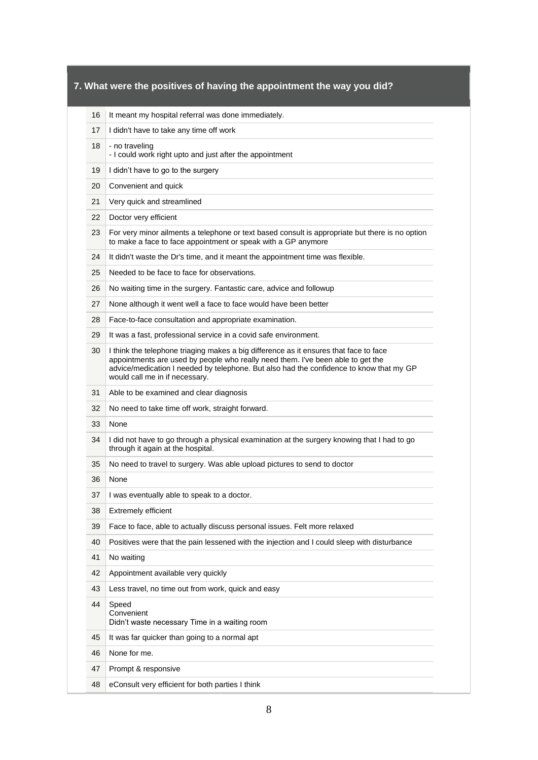| 16 | It meant my hospital referral was done immediately.                                                                                                                                                                                                                                                   |  |
|----|-------------------------------------------------------------------------------------------------------------------------------------------------------------------------------------------------------------------------------------------------------------------------------------------------------|--|
| 17 | I didn't have to take any time off work                                                                                                                                                                                                                                                               |  |
| 18 | - no traveling<br>- I could work right upto and just after the appointment                                                                                                                                                                                                                            |  |
| 19 | I didn't have to go to the surgery                                                                                                                                                                                                                                                                    |  |
| 20 | Convenient and quick                                                                                                                                                                                                                                                                                  |  |
| 21 | Very quick and streamlined                                                                                                                                                                                                                                                                            |  |
| 22 | Doctor very efficient                                                                                                                                                                                                                                                                                 |  |
| 23 | For very minor ailments a telephone or text based consult is appropriate but there is no option<br>to make a face to face appointment or speak with a GP anymore                                                                                                                                      |  |
| 24 | It didn't waste the Dr's time, and it meant the appointment time was flexible.                                                                                                                                                                                                                        |  |
| 25 | Needed to be face to face for observations.                                                                                                                                                                                                                                                           |  |
| 26 | No waiting time in the surgery. Fantastic care, advice and followup                                                                                                                                                                                                                                   |  |
| 27 | None although it went well a face to face would have been better                                                                                                                                                                                                                                      |  |
| 28 | Face-to-face consultation and appropriate examination.                                                                                                                                                                                                                                                |  |
| 29 | It was a fast, professional service in a covid safe environment.                                                                                                                                                                                                                                      |  |
| 30 | I think the telephone triaging makes a big difference as it ensures that face to face<br>appointments are used by people who really need them. I've been able to get the<br>advice/medication I needed by telephone. But also had the confidence to know that my GP<br>would call me in if necessary. |  |
| 31 | Able to be examined and clear diagnosis                                                                                                                                                                                                                                                               |  |
| 32 | No need to take time off work, straight forward.                                                                                                                                                                                                                                                      |  |
| 33 | None                                                                                                                                                                                                                                                                                                  |  |
| 34 | I did not have to go through a physical examination at the surgery knowing that I had to go<br>through it again at the hospital.                                                                                                                                                                      |  |
| 35 | No need to travel to surgery. Was able upload pictures to send to doctor                                                                                                                                                                                                                              |  |
| 36 | None                                                                                                                                                                                                                                                                                                  |  |
| 37 | I was eventually able to speak to a doctor.                                                                                                                                                                                                                                                           |  |
| 38 | <b>Extremely efficient</b>                                                                                                                                                                                                                                                                            |  |
| 39 | Face to face, able to actually discuss personal issues. Felt more relaxed                                                                                                                                                                                                                             |  |
| 40 | Positives were that the pain lessened with the injection and I could sleep with disturbance                                                                                                                                                                                                           |  |
| 41 | No waiting                                                                                                                                                                                                                                                                                            |  |
| 42 | Appointment available very quickly                                                                                                                                                                                                                                                                    |  |
| 43 | Less travel, no time out from work, quick and easy                                                                                                                                                                                                                                                    |  |
| 44 | Speed<br>Convenient<br>Didn't waste necessary Time in a waiting room                                                                                                                                                                                                                                  |  |
| 45 | It was far quicker than going to a normal apt                                                                                                                                                                                                                                                         |  |
| 46 | None for me.                                                                                                                                                                                                                                                                                          |  |
| 47 | Prompt & responsive                                                                                                                                                                                                                                                                                   |  |
|    |                                                                                                                                                                                                                                                                                                       |  |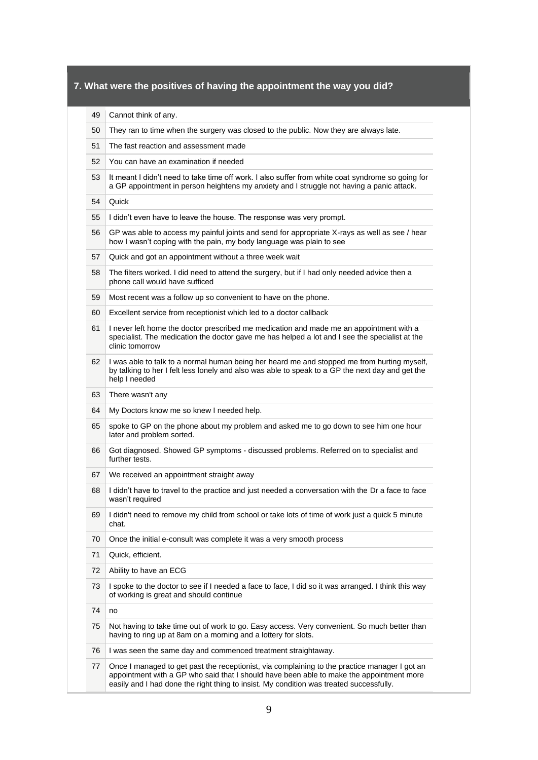- 49 Cannot think of any.
- 50 They ran to time when the surgery was closed to the public. Now they are always late.
- 51 The fast reaction and assessment made
- 52 You can have an examination if needed
- 53 It meant I didn't need to take time off work. I also suffer from white coat syndrome so going for a GP appointment in person heightens my anxiety and I struggle not having a panic attack.
- 54 Quick
- 55 I didn't even have to leave the house. The response was very prompt.
- 56 GP was able to access my painful joints and send for appropriate X-rays as well as see / hear how I wasn't coping with the pain, my body language was plain to see
- 57 Quick and got an appointment without a three week wait
- 58 The filters worked. I did need to attend the surgery, but if I had only needed advice then a phone call would have sufficed
- 59 Most recent was a follow up so convenient to have on the phone.
- 60 Excellent service from receptionist which led to a doctor callback
- 61 I never left home the doctor prescribed me medication and made me an appointment with a specialist. The medication the doctor gave me has helped a lot and I see the specialist at the clinic tomorrow
- 62 I was able to talk to a normal human being her heard me and stopped me from hurting myself, by talking to her I felt less lonely and also was able to speak to a GP the next day and get the help I needed
- 63 There wasn't any
- 64 My Doctors know me so knew I needed help.
- 65 spoke to GP on the phone about my problem and asked me to go down to see him one hour later and problem sorted.
- 66 Got diagnosed. Showed GP symptoms discussed problems. Referred on to specialist and further tests.
- 67 We received an appointment straight away
- 68 I didn't have to travel to the practice and just needed a conversation with the Dr a face to face wasn't required
- 69 I didn't need to remove my child from school or take lots of time of work just a quick 5 minute chat.
- 70 Once the initial e-consult was complete it was a very smooth process
- 71 | Quick, efficient.
- 72 Ability to have an ECG
- 73 I spoke to the doctor to see if I needed a face to face, I did so it was arranged. I think this way of working is great and should continue
- 74 no
- 75 Not having to take time out of work to go. Easy access. Very convenient. So much better than having to ring up at 8am on a morning and a lottery for slots.
- 76 I was seen the same day and commenced treatment straightaway.
- 77 Once I managed to get past the receptionist, via complaining to the practice manager I got an appointment with a GP who said that I should have been able to make the appointment more easily and I had done the right thing to insist. My condition was treated successfully.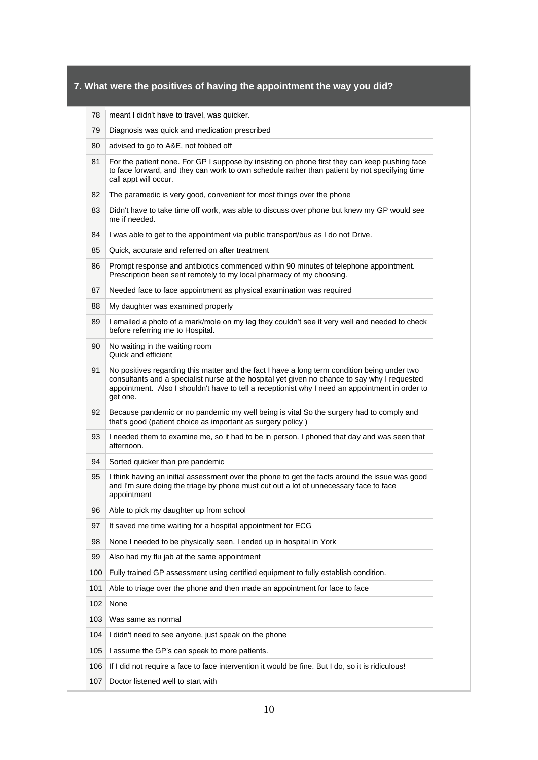|  |  | 78 meant I didn't have to travel, was quicker. |  |
|--|--|------------------------------------------------|--|
|--|--|------------------------------------------------|--|

- 79 Diagnosis was quick and medication prescribed
- 80 advised to go to A&E, not fobbed off
- 81 For the patient none. For GP I suppose by insisting on phone first they can keep pushing face to face forward, and they can work to own schedule rather than patient by not specifying time call appt will occur.
- 82 The paramedic is very good, convenient for most things over the phone
- 83 Didn't have to take time off work, was able to discuss over phone but knew my GP would see me if needed.
- 84 I was able to get to the appointment via public transport/bus as I do not Drive.
- 85 Quick, accurate and referred on after treatment
- 86 Prompt response and antibiotics commenced within 90 minutes of telephone appointment. Prescription been sent remotely to my local pharmacy of my choosing.
- 87 Needed face to face appointment as physical examination was required
- 88 My daughter was examined properly
- 89 I emailed a photo of a mark/mole on my leg they couldn't see it very well and needed to check before referring me to Hospital.
- 90 No waiting in the waiting room Quick and efficient
- 91 No positives regarding this matter and the fact I have a long term condition being under two consultants and a specialist nurse at the hospital yet given no chance to say why I requested appointment. Also I shouldn't have to tell a receptionist why I need an appointment in order to get one.
- 92 Because pandemic or no pandemic my well being is vital So the surgery had to comply and that's good (patient choice as important as surgery policy )
- 93 I needed them to examine me, so it had to be in person. I phoned that day and was seen that afternoon.
- 94 Sorted quicker than pre pandemic
- 95 I think having an initial assessment over the phone to get the facts around the issue was good and I'm sure doing the triage by phone must cut out a lot of unnecessary face to face appointment
- 96 Able to pick my daughter up from school
- 97 It saved me time waiting for a hospital appointment for ECG
- 98 None I needed to be physically seen. I ended up in hospital in York
- 99 Also had my flu jab at the same appointment
- 100 Fully trained GP assessment using certified equipment to fully establish condition.
- 101 Able to triage over the phone and then made an appointment for face to face
- 102 None
- 103 Was same as normal
- 104 I didn't need to see anyone, just speak on the phone
- 105 I assume the GP's can speak to more patients.
- 106 If I did not require a face to face intervention it would be fine. But I do, so it is ridiculous!
- 107 Doctor listened well to start with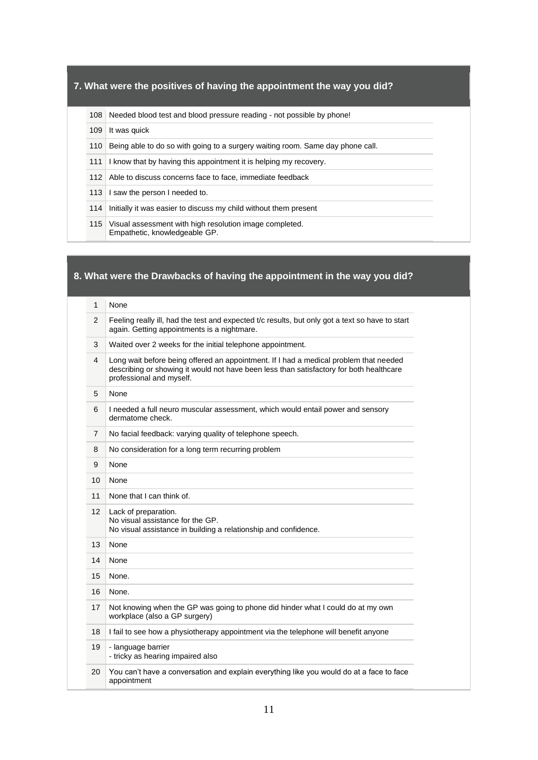108 Needed blood test and blood pressure reading - not possible by phone!

- 109 It was quick
- 110 Being able to do so with going to a surgery waiting room. Same day phone call.
- 111 I know that by having this appointment it is helping my recovery.
- 112 Able to discuss concerns face to face, immediate feedback
- 113 I saw the person I needed to.
- 114 Initially it was easier to discuss my child without them present
- 115 Visual assessment with high resolution image completed. Empathetic, knowledgeable GP.

# **8. What were the Drawbacks of having the appointment in the way you did?**

- 1 None
- 2 Feeling really ill, had the test and expected t/c results, but only got a text so have to start again. Getting appointments is a nightmare.
- 3 Waited over 2 weeks for the initial telephone appointment.
- 4 Long wait before being offered an appointment. If I had a medical problem that needed describing or showing it would not have been less than satisfactory for both healthcare professional and myself.
- 5 None
- 6 I needed a full neuro muscular assessment, which would entail power and sensory dermatome check.
- 7 No facial feedback: varying quality of telephone speech.
- 8 No consideration for a long term recurring problem
- 9 None
- 10 None
- 11 None that I can think of.
- 12 | Lack of preparation. No visual assistance for the GP. No visual assistance in building a relationship and confidence.
- 13 None
- 14 None
- 15 None.
- 16 None.
- 17 Not knowing when the GP was going to phone did hinder what I could do at my own workplace (also a GP surgery)
- 18 I fail to see how a physiotherapy appointment via the telephone will benefit anyone
- 19 language barrier - tricky as hearing impaired also
- 20 You can't have a conversation and explain everything like you would do at a face to face appointment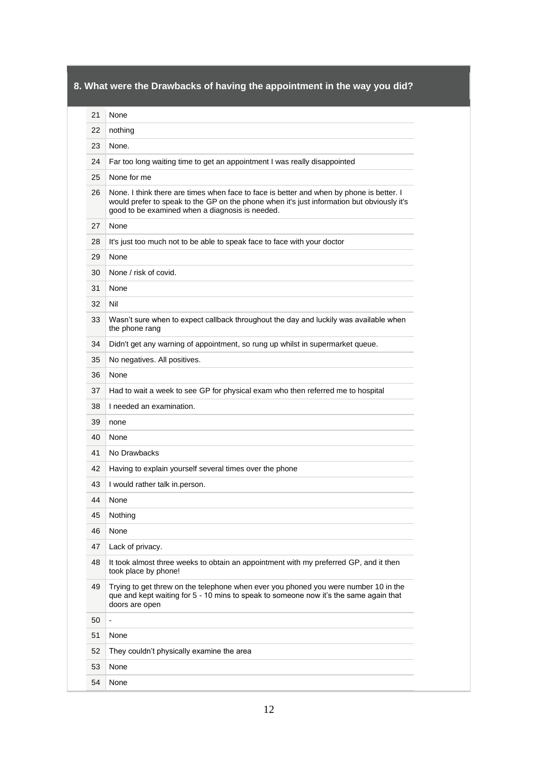# **8. What were the Drawbacks of having the appointment in the way you did?**

|  | None |
|--|------|
|--|------|

| 22 | nothing                                                                                                                                                                                                                                   |
|----|-------------------------------------------------------------------------------------------------------------------------------------------------------------------------------------------------------------------------------------------|
| 23 | None.                                                                                                                                                                                                                                     |
| 24 | Far too long waiting time to get an appointment I was really disappointed                                                                                                                                                                 |
| 25 | None for me                                                                                                                                                                                                                               |
| 26 | None. I think there are times when face to face is better and when by phone is better. I<br>would prefer to speak to the GP on the phone when it's just information but obviously it's<br>good to be examined when a diagnosis is needed. |
| 27 | None                                                                                                                                                                                                                                      |
| 28 | It's just too much not to be able to speak face to face with your doctor                                                                                                                                                                  |
| 29 | None                                                                                                                                                                                                                                      |
| 30 | None / risk of covid.                                                                                                                                                                                                                     |
| 31 | None                                                                                                                                                                                                                                      |
| 32 | Nil                                                                                                                                                                                                                                       |
| 33 | Wasn't sure when to expect callback throughout the day and luckily was available when<br>the phone rang                                                                                                                                   |
| 34 | Didn't get any warning of appointment, so rung up whilst in supermarket queue.                                                                                                                                                            |
| 35 | No negatives. All positives.                                                                                                                                                                                                              |
| 36 | None                                                                                                                                                                                                                                      |
| 37 | Had to wait a week to see GP for physical exam who then referred me to hospital                                                                                                                                                           |
| 38 | I needed an examination.                                                                                                                                                                                                                  |
| 39 | none                                                                                                                                                                                                                                      |
| 40 | None                                                                                                                                                                                                                                      |
| 41 | No Drawbacks                                                                                                                                                                                                                              |
| 42 | Having to explain yourself several times over the phone                                                                                                                                                                                   |
| 43 | I would rather talk in.person.                                                                                                                                                                                                            |
| 44 | None                                                                                                                                                                                                                                      |
| 45 | Nothing                                                                                                                                                                                                                                   |
| 46 | None                                                                                                                                                                                                                                      |
| 47 | Lack of privacy.                                                                                                                                                                                                                          |
| 48 | It took almost three weeks to obtain an appointment with my preferred GP, and it then<br>took place by phone!                                                                                                                             |
| 49 | Trying to get threw on the telephone when ever you phoned you were number 10 in the<br>que and kept waiting for 5 - 10 mins to speak to someone now it's the same again that<br>doors are open                                            |
| 50 |                                                                                                                                                                                                                                           |
| 51 | None                                                                                                                                                                                                                                      |
| 52 | They couldn't physically examine the area                                                                                                                                                                                                 |
| 53 | None                                                                                                                                                                                                                                      |
| 54 | None                                                                                                                                                                                                                                      |
|    |                                                                                                                                                                                                                                           |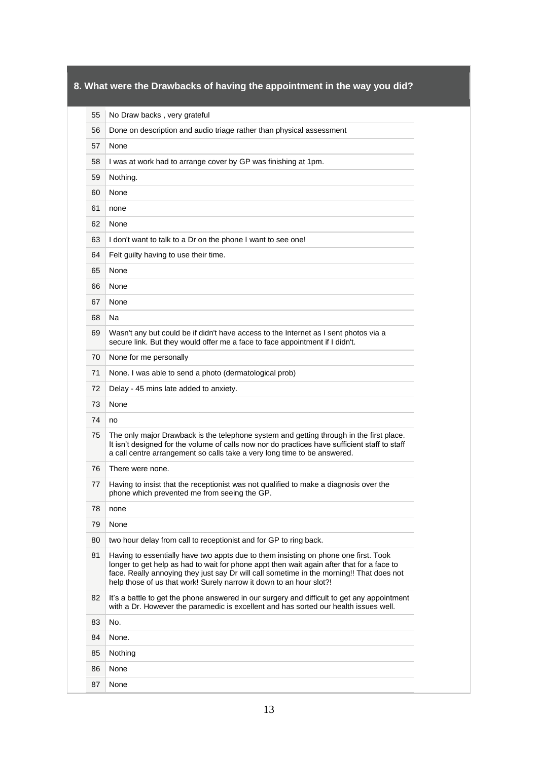# **8. What were the Drawbacks of having the appointment in the way you did?**

| 55 | No Draw backs, very grateful                                                                                                                                                                                                                                                                                                                        |
|----|-----------------------------------------------------------------------------------------------------------------------------------------------------------------------------------------------------------------------------------------------------------------------------------------------------------------------------------------------------|
| 56 | Done on description and audio triage rather than physical assessment                                                                                                                                                                                                                                                                                |
| 57 | None                                                                                                                                                                                                                                                                                                                                                |
| 58 | I was at work had to arrange cover by GP was finishing at 1pm.                                                                                                                                                                                                                                                                                      |
| 59 | Nothing.                                                                                                                                                                                                                                                                                                                                            |
| 60 | None                                                                                                                                                                                                                                                                                                                                                |
| 61 | none                                                                                                                                                                                                                                                                                                                                                |
| 62 | None                                                                                                                                                                                                                                                                                                                                                |
| 63 | I don't want to talk to a Dr on the phone I want to see one!                                                                                                                                                                                                                                                                                        |
| 64 | Felt guilty having to use their time.                                                                                                                                                                                                                                                                                                               |
| 65 | None                                                                                                                                                                                                                                                                                                                                                |
| 66 | None                                                                                                                                                                                                                                                                                                                                                |
| 67 | None                                                                                                                                                                                                                                                                                                                                                |
| 68 | Na                                                                                                                                                                                                                                                                                                                                                  |
| 69 | Wasn't any but could be if didn't have access to the Internet as I sent photos via a<br>secure link. But they would offer me a face to face appointment if I didn't.                                                                                                                                                                                |
| 70 | None for me personally                                                                                                                                                                                                                                                                                                                              |
| 71 | None. I was able to send a photo (dermatological prob)                                                                                                                                                                                                                                                                                              |
| 72 | Delay - 45 mins late added to anxiety.                                                                                                                                                                                                                                                                                                              |
| 73 | None                                                                                                                                                                                                                                                                                                                                                |
| 74 | no                                                                                                                                                                                                                                                                                                                                                  |
| 75 | The only major Drawback is the telephone system and getting through in the first place.<br>It isn't designed for the volume of calls now nor do practices have sufficient staff to staff<br>a call centre arrangement so calls take a very long time to be answered.                                                                                |
| 76 | There were none.                                                                                                                                                                                                                                                                                                                                    |
| 77 | Having to insist that the receptionist was not qualified to make a diagnosis over the<br>phone which prevented me from seeing the GP.                                                                                                                                                                                                               |
| 78 | none                                                                                                                                                                                                                                                                                                                                                |
| 79 | None                                                                                                                                                                                                                                                                                                                                                |
| 80 | two hour delay from call to receptionist and for GP to ring back.                                                                                                                                                                                                                                                                                   |
| 81 | Having to essentially have two appts due to them insisting on phone one first. Took<br>longer to get help as had to wait for phone appt then wait again after that for a face to<br>face. Really annoying they just say Dr will call sometime in the morning!! That does not<br>help those of us that work! Surely narrow it down to an hour slot?! |
| 82 | It's a battle to get the phone answered in our surgery and difficult to get any appointment<br>with a Dr. However the paramedic is excellent and has sorted our health issues well.                                                                                                                                                                 |
| 83 | No.                                                                                                                                                                                                                                                                                                                                                 |
| 84 | None.                                                                                                                                                                                                                                                                                                                                               |
| 85 | Nothing                                                                                                                                                                                                                                                                                                                                             |
| 86 | None                                                                                                                                                                                                                                                                                                                                                |
| 87 | None                                                                                                                                                                                                                                                                                                                                                |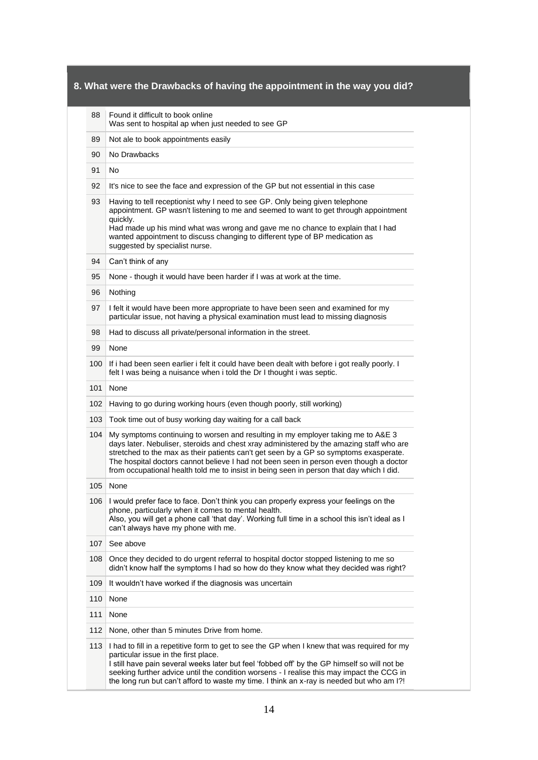| 88  | Found it difficult to book online<br>Was sent to hospital ap when just needed to see GP                                                                                                                                                                                                                                                                                                                                                                     |
|-----|-------------------------------------------------------------------------------------------------------------------------------------------------------------------------------------------------------------------------------------------------------------------------------------------------------------------------------------------------------------------------------------------------------------------------------------------------------------|
| 89  | Not ale to book appointments easily                                                                                                                                                                                                                                                                                                                                                                                                                         |
| 90  | No Drawbacks                                                                                                                                                                                                                                                                                                                                                                                                                                                |
| 91  | No                                                                                                                                                                                                                                                                                                                                                                                                                                                          |
| 92  | It's nice to see the face and expression of the GP but not essential in this case                                                                                                                                                                                                                                                                                                                                                                           |
| 93  | Having to tell receptionist why I need to see GP. Only being given telephone<br>appointment. GP wasn't listening to me and seemed to want to get through appointment<br>quickly.<br>Had made up his mind what was wrong and gave me no chance to explain that I had<br>wanted appointment to discuss changing to different type of BP medication as<br>suggested by specialist nurse.                                                                       |
| 94  | Can't think of any                                                                                                                                                                                                                                                                                                                                                                                                                                          |
| 95  | None - though it would have been harder if I was at work at the time.                                                                                                                                                                                                                                                                                                                                                                                       |
| 96  | Nothing                                                                                                                                                                                                                                                                                                                                                                                                                                                     |
| 97  | I felt it would have been more appropriate to have been seen and examined for my<br>particular issue, not having a physical examination must lead to missing diagnosis                                                                                                                                                                                                                                                                                      |
| 98  | Had to discuss all private/personal information in the street.                                                                                                                                                                                                                                                                                                                                                                                              |
| 99  | None                                                                                                                                                                                                                                                                                                                                                                                                                                                        |
| 100 | If i had been seen earlier i felt it could have been dealt with before i got really poorly. I<br>felt I was being a nuisance when i told the Dr I thought i was septic.                                                                                                                                                                                                                                                                                     |
| 101 | None                                                                                                                                                                                                                                                                                                                                                                                                                                                        |
| 102 | Having to go during working hours (even though poorly, still working)                                                                                                                                                                                                                                                                                                                                                                                       |
| 103 | Took time out of busy working day waiting for a call back                                                                                                                                                                                                                                                                                                                                                                                                   |
| 104 | My symptoms continuing to worsen and resulting in my employer taking me to A&E 3<br>days later. Nebuliser, steroids and chest xray administered by the amazing staff who are<br>stretched to the max as their patients can't get seen by a GP so symptoms exasperate.<br>The hospital doctors cannot believe I had not been seen in person even though a doctor<br>from occupational health told me to insist in being seen in person that day which I did. |
| 105 | None                                                                                                                                                                                                                                                                                                                                                                                                                                                        |
| 106 | I would prefer face to face. Don't think you can properly express your feelings on the<br>phone, particularly when it comes to mental health.<br>Also, you will get a phone call 'that day'. Working full time in a school this isn't ideal as I<br>can't always have my phone with me.                                                                                                                                                                     |
| 107 | See above                                                                                                                                                                                                                                                                                                                                                                                                                                                   |
| 108 | Once they decided to do urgent referral to hospital doctor stopped listening to me so<br>didn't know half the symptoms I had so how do they know what they decided was right?                                                                                                                                                                                                                                                                               |
| 109 | It wouldn't have worked if the diagnosis was uncertain                                                                                                                                                                                                                                                                                                                                                                                                      |
| 110 | None                                                                                                                                                                                                                                                                                                                                                                                                                                                        |
| 111 | None                                                                                                                                                                                                                                                                                                                                                                                                                                                        |
| 112 | None, other than 5 minutes Drive from home.                                                                                                                                                                                                                                                                                                                                                                                                                 |
| 113 | I had to fill in a repetitive form to get to see the GP when I knew that was required for my<br>particular issue in the first place.<br>I still have pain several weeks later but feel 'fobbed off' by the GP himself so will not be<br>seeking further advice until the condition worsens - I realise this may impact the CCG in<br>the long run but can't afford to waste my time. I think an x-ray is needed but who am I?!                              |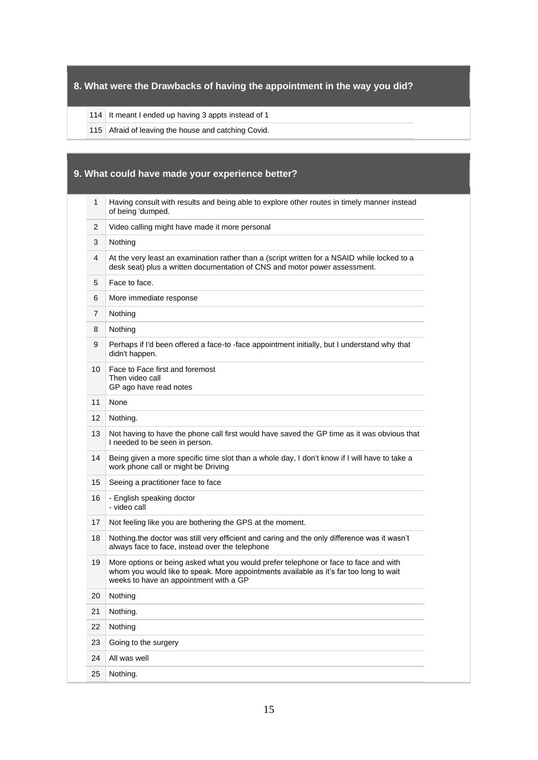## **8. What were the Drawbacks of having the appointment in the way you did?**

#### 114 It meant I ended up having 3 appts instead of 1

115 Afraid of leaving the house and catching Covid.

## **9. What could have made your experience better?**  1 Having consult with results and being able to explore other routes in timely manner instead of being 'dumped. 2 Video calling might have made it more personal 3 Nothing 4 At the very least an examination rather than a (script written for a NSAID while locked to a desk seat) plus a written documentation of CNS and motor power assessment. 5 | Face to face. 6 More immediate response 7 Nothing 8 Nothing 9 Perhaps if I'd been offered a face-to -face appointment initially, but I understand why that didn't happen. 10 Face to Face first and foremost Then video call GP ago have read notes 11 None 12 Nothing. 13 Not having to have the phone call first would have saved the GP time as it was obvious that I needed to be seen in person. 14 Being given a more specific time slot than a whole day, I don't know if I will have to take a work phone call or might be Driving 15 Seeing a practitioner face to face 16 - English speaking doctor - video call 17 Not feeling like you are bothering the GPS at the moment. 18 Nothing.the doctor was still very efficient and caring and the only difference was it wasn't always face to face, instead over the telephone 19 More options or being asked what you would prefer telephone or face to face and with whom you would like to speak. More appointments available as it's far too long to wait weeks to have an appointment with a GP 20 Nothing 21 Nothing. 22 Nothing 23 Going to the surgery 24 All was well 25 Nothing.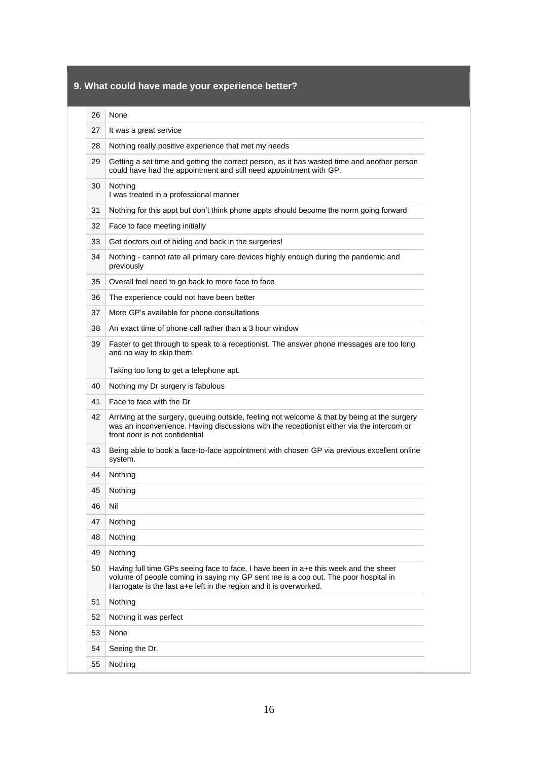# **9. What could have made your experience better?**

| 26 | None                                                                                                                                                                                                                                             |
|----|--------------------------------------------------------------------------------------------------------------------------------------------------------------------------------------------------------------------------------------------------|
| 27 | It was a great service                                                                                                                                                                                                                           |
| 28 | Nothing really positive experience that met my needs                                                                                                                                                                                             |
| 29 | Getting a set time and getting the correct person, as it has wasted time and another person<br>could have had the appointment and still need appointment with GP.                                                                                |
| 30 | Nothing<br>I was treated in a professional manner                                                                                                                                                                                                |
| 31 | Nothing for this appt but don't think phone appts should become the norm going forward                                                                                                                                                           |
| 32 | Face to face meeting initially                                                                                                                                                                                                                   |
| 33 | Get doctors out of hiding and back in the surgeries!                                                                                                                                                                                             |
| 34 | Nothing - cannot rate all primary care devices highly enough during the pandemic and<br>previously                                                                                                                                               |
| 35 | Overall feel need to go back to more face to face                                                                                                                                                                                                |
| 36 | The experience could not have been better                                                                                                                                                                                                        |
| 37 | More GP's available for phone consultations                                                                                                                                                                                                      |
| 38 | An exact time of phone call rather than a 3 hour window                                                                                                                                                                                          |
| 39 | Faster to get through to speak to a receptionist. The answer phone messages are too long<br>and no way to skip them.                                                                                                                             |
|    | Taking too long to get a telephone apt.                                                                                                                                                                                                          |
| 40 | Nothing my Dr surgery is fabulous                                                                                                                                                                                                                |
| 41 | Face to face with the Dr                                                                                                                                                                                                                         |
| 42 | Arriving at the surgery, queuing outside, feeling not welcome & that by being at the surgery<br>was an inconvenience. Having discussions with the receptionist either via the intercom or<br>front door is not confidential                      |
| 43 | Being able to book a face-to-face appointment with chosen GP via previous excellent online<br>system.                                                                                                                                            |
| 44 | Nothing                                                                                                                                                                                                                                          |
| 45 | Nothing                                                                                                                                                                                                                                          |
| 46 | Nil                                                                                                                                                                                                                                              |
| 47 | Nothing                                                                                                                                                                                                                                          |
| 48 | Nothing                                                                                                                                                                                                                                          |
| 49 | Nothing                                                                                                                                                                                                                                          |
| 50 | Having full time GPs seeing face to face, I have been in a+e this week and the sheer<br>volume of people coming in saying my GP sent me is a cop out. The poor hospital in<br>Harrogate is the last a+e left in the region and it is overworked. |
| 51 | Nothing                                                                                                                                                                                                                                          |
| 52 | Nothing it was perfect                                                                                                                                                                                                                           |
| 53 | None                                                                                                                                                                                                                                             |
| 54 | Seeing the Dr.                                                                                                                                                                                                                                   |
| 55 | Nothing                                                                                                                                                                                                                                          |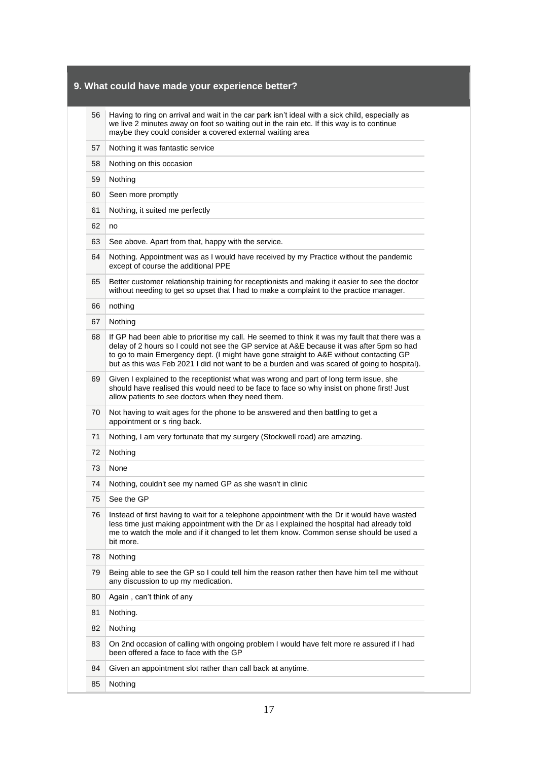### **9. What could have made your experience better?**

56 Having to ring on arrival and wait in the car park isn't ideal with a sick child, especially as we live 2 minutes away on foot so waiting out in the rain etc. If this way is to continue maybe they could consider a covered external waiting area

- 57 Nothing it was fantastic service
- 58 Nothing on this occasion
- 59 Nothing
- 60 Seen more promptly
- 61 Nothing, it suited me perfectly
- $62 \text{ no}$
- 63 See above. Apart from that, happy with the service.
- 64 Nothing. Appointment was as I would have received by my Practice without the pandemic except of course the additional PPE
- 65 Better customer relationship training for receptionists and making it easier to see the doctor without needing to get so upset that I had to make a complaint to the practice manager.
- 66 nothing
- 67 Nothing
- 68 If GP had been able to prioritise my call. He seemed to think it was my fault that there was a delay of 2 hours so I could not see the GP service at A&E because it was after 5pm so had to go to main Emergency dept. (I might have gone straight to A&E without contacting GP but as this was Feb 2021 I did not want to be a burden and was scared of going to hospital).
- 69 Given I explained to the receptionist what was wrong and part of long term issue, she should have realised this would need to be face to face so why insist on phone first! Just allow patients to see doctors when they need them.
- 70 Not having to wait ages for the phone to be answered and then battling to get a appointment or s ring back.
- 71 Nothing, I am very fortunate that my surgery (Stockwell road) are amazing.
- 72 Nothing
- 73 None
- 74 Nothing, couldn't see my named GP as she wasn't in clinic
- 75 See the GP
- 76 Instead of first having to wait for a telephone appointment with the Dr it would have wasted less time just making appointment with the Dr as I explained the hospital had already told me to watch the mole and if it changed to let them know. Common sense should be used a bit more.
- 78 Nothing
- 79 Being able to see the GP so I could tell him the reason rather then have him tell me without any discussion to up my medication.
- 80 Again, can't think of any
- 81 Nothing.
- 82 Nothing
- 83 On 2nd occasion of calling with ongoing problem I would have felt more re assured if I had been offered a face to face with the GP
- 84 Given an appointment slot rather than call back at anytime.
- 85 Nothing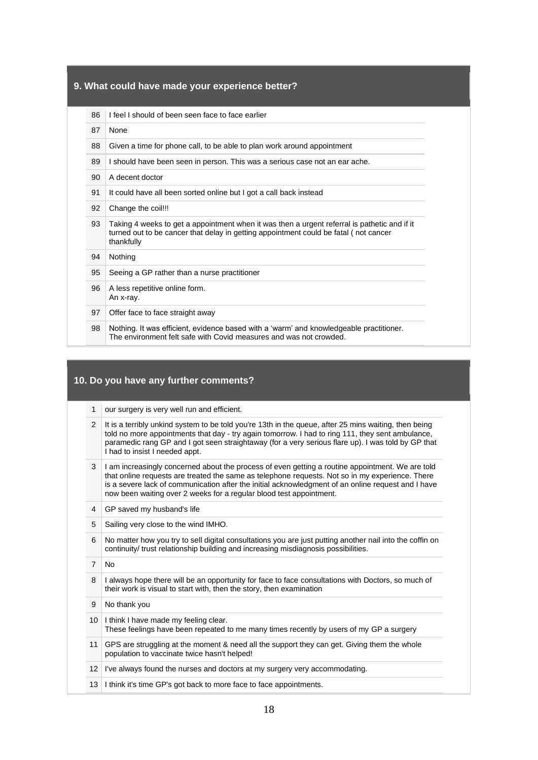### **9. What could have made your experience better?**

|  | 86   I feel I should of been seen face to face earlier |
|--|--------------------------------------------------------|
|--|--------------------------------------------------------|

- 87 None
- 88 Given a time for phone call, to be able to plan work around appointment
- 89 I should have been seen in person. This was a serious case not an ear ache.
- 90 A decent doctor
- 91 It could have all been sorted online but I got a call back instead
- 92 Change the coil!!!
- 93 Taking 4 weeks to get a appointment when it was then a urgent referral is pathetic and if it turned out to be cancer that delay in getting appointment could be fatal ( not cancer thankfully
- 94 Nothing
- 95 Seeing a GP rather than a nurse practitioner
- 96 A less repetitive online form. An x-ray.
- 97 Offer face to face straight away
- 98 Nothing. It was efficient, evidence based with a 'warm' and knowledgeable practitioner. The environment felt safe with Covid measures and was not crowded.

## **10. Do you have any further comments?**

- 1 our surgery is very well run and efficient.
- 2 It is a terribly unkind system to be told you're 13th in the queue, after 25 mins waiting, then being told no more appointments that day - try again tomorrow. I had to ring 111, they sent ambulance, paramedic rang GP and I got seen straightaway (for a very serious flare up). I was told by GP that I had to insist I needed appt.
- 3 I am increasingly concerned about the process of even getting a routine appointment. We are told that online requests are treated the same as telephone requests. Not so in my experience. There is a severe lack of communication after the initial acknowledgment of an online request and I have now been waiting over 2 weeks for a regular blood test appointment.
- 4 GP saved my husband's life
- 5 Sailing very close to the wind IMHO.
- 6 No matter how you try to sell digital consultations you are just putting another nail into the coffin on continuity/ trust relationship building and increasing misdiagnosis possibilities.
- 7 No
- 8 I always hope there will be an opportunity for face to face consultations with Doctors, so much of their work is visual to start with, then the story, then examination
- 9 No thank you
- 10 I think I have made my feeling clear. These feelings have been repeated to me many times recently by users of my GP a surgery 11 GPS are struggling at the moment & need all the support they can get. Giving them the whole population to vaccinate twice hasn't helped!
- 12 I've always found the nurses and doctors at my surgery very accommodating.
- 13 I think it's time GP's got back to more face to face appointments.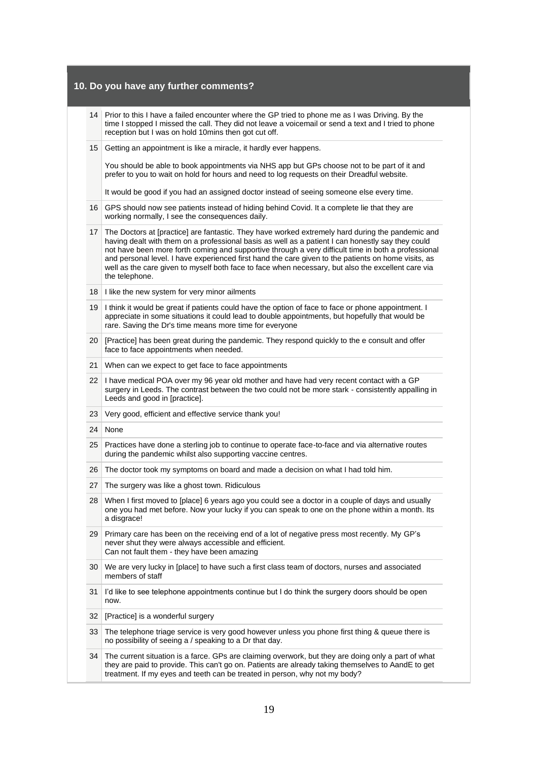|    | 10. Do you have any further comments?                                                                                                                                                                                                                                                                                                                                                                                                                                                                                                       |
|----|---------------------------------------------------------------------------------------------------------------------------------------------------------------------------------------------------------------------------------------------------------------------------------------------------------------------------------------------------------------------------------------------------------------------------------------------------------------------------------------------------------------------------------------------|
| 14 | Prior to this I have a failed encounter where the GP tried to phone me as I was Driving. By the<br>time I stopped I missed the call. They did not leave a voicemail or send a text and I tried to phone<br>reception but I was on hold 10mins then got cut off.                                                                                                                                                                                                                                                                             |
| 15 | Getting an appointment is like a miracle, it hardly ever happens.                                                                                                                                                                                                                                                                                                                                                                                                                                                                           |
|    | You should be able to book appointments via NHS app but GPs choose not to be part of it and<br>prefer to you to wait on hold for hours and need to log requests on their Dreadful website.                                                                                                                                                                                                                                                                                                                                                  |
|    | It would be good if you had an assigned doctor instead of seeing someone else every time.                                                                                                                                                                                                                                                                                                                                                                                                                                                   |
| 16 | GPS should now see patients instead of hiding behind Covid. It a complete lie that they are<br>working normally, I see the consequences daily.                                                                                                                                                                                                                                                                                                                                                                                              |
| 17 | The Doctors at [practice] are fantastic. They have worked extremely hard during the pandemic and<br>having dealt with them on a professional basis as well as a patient I can honestly say they could<br>not have been more forth coming and supportive through a very difficult time in both a professional<br>and personal level. I have experienced first hand the care given to the patients on home visits, as<br>well as the care given to myself both face to face when necessary, but also the excellent care via<br>the telephone. |
|    | 18   I like the new system for very minor ailments                                                                                                                                                                                                                                                                                                                                                                                                                                                                                          |
| 19 | I think it would be great if patients could have the option of face to face or phone appointment. I<br>appreciate in some situations it could lead to double appointments, but hopefully that would be<br>rare. Saving the Dr's time means more time for everyone                                                                                                                                                                                                                                                                           |
| 20 | [Practice] has been great during the pandemic. They respond quickly to the e consult and offer<br>face to face appointments when needed.                                                                                                                                                                                                                                                                                                                                                                                                    |
| 21 | When can we expect to get face to face appointments                                                                                                                                                                                                                                                                                                                                                                                                                                                                                         |
| 22 | I have medical POA over my 96 year old mother and have had very recent contact with a GP<br>surgery in Leeds. The contrast between the two could not be more stark - consistently appalling in<br>Leeds and good in [practice].                                                                                                                                                                                                                                                                                                             |
| 23 | Very good, efficient and effective service thank you!                                                                                                                                                                                                                                                                                                                                                                                                                                                                                       |
| 24 | None                                                                                                                                                                                                                                                                                                                                                                                                                                                                                                                                        |
| 25 | Practices have done a sterling job to continue to operate face-to-face and via alternative routes<br>during the pandemic whilst also supporting vaccine centres.                                                                                                                                                                                                                                                                                                                                                                            |
| 26 | The doctor took my symptoms on board and made a decision on what I had told him.                                                                                                                                                                                                                                                                                                                                                                                                                                                            |
| 27 | The surgery was like a ghost town. Ridiculous                                                                                                                                                                                                                                                                                                                                                                                                                                                                                               |
| 28 | When I first moved to [place] 6 years ago you could see a doctor in a couple of days and usually<br>one you had met before. Now your lucky if you can speak to one on the phone within a month. Its<br>a disgrace!                                                                                                                                                                                                                                                                                                                          |
| 29 | Primary care has been on the receiving end of a lot of negative press most recently. My GP's<br>never shut they were always accessible and efficient.<br>Can not fault them - they have been amazing                                                                                                                                                                                                                                                                                                                                        |
| 30 | We are very lucky in [place] to have such a first class team of doctors, nurses and associated<br>members of staff                                                                                                                                                                                                                                                                                                                                                                                                                          |
| 31 | I'd like to see telephone appointments continue but I do think the surgery doors should be open<br>now.                                                                                                                                                                                                                                                                                                                                                                                                                                     |
| 32 | [Practice] is a wonderful surgery                                                                                                                                                                                                                                                                                                                                                                                                                                                                                                           |
| 33 | The telephone triage service is very good however unless you phone first thing & queue there is<br>no possibility of seeing a / speaking to a Dr that day.                                                                                                                                                                                                                                                                                                                                                                                  |
| 34 | The current situation is a farce. GPs are claiming overwork, but they are doing only a part of what<br>they are paid to provide. This can't go on. Patients are already taking themselves to AandE to get<br>treatment. If my eyes and teeth can be treated in person, why not my body?                                                                                                                                                                                                                                                     |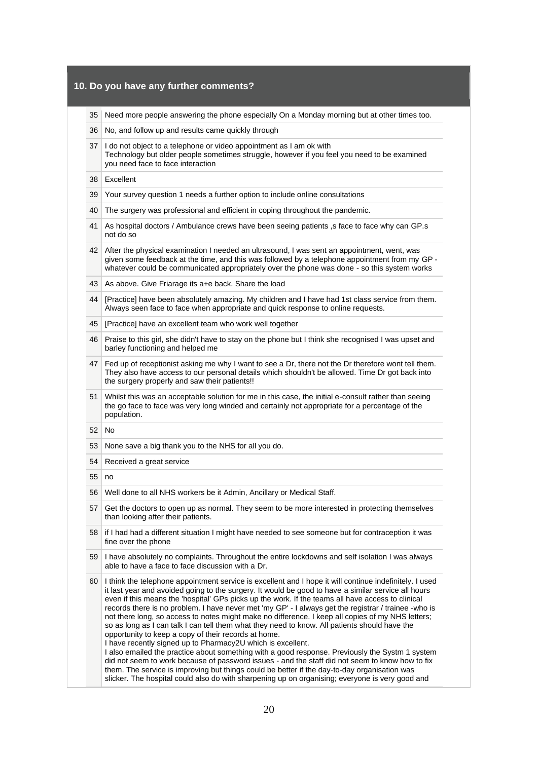| 10. Do you have any further comments? |                                                                                                                                                                                                                                                                                                                                                                                                                                                                                                                                                                                                                                                                                                                                                                                                                                                                                                                                                                                                                                                                                                                                                                   |
|---------------------------------------|-------------------------------------------------------------------------------------------------------------------------------------------------------------------------------------------------------------------------------------------------------------------------------------------------------------------------------------------------------------------------------------------------------------------------------------------------------------------------------------------------------------------------------------------------------------------------------------------------------------------------------------------------------------------------------------------------------------------------------------------------------------------------------------------------------------------------------------------------------------------------------------------------------------------------------------------------------------------------------------------------------------------------------------------------------------------------------------------------------------------------------------------------------------------|
| 35                                    | Need more people answering the phone especially On a Monday morning but at other times too.                                                                                                                                                                                                                                                                                                                                                                                                                                                                                                                                                                                                                                                                                                                                                                                                                                                                                                                                                                                                                                                                       |
| 36                                    | No, and follow up and results came quickly through                                                                                                                                                                                                                                                                                                                                                                                                                                                                                                                                                                                                                                                                                                                                                                                                                                                                                                                                                                                                                                                                                                                |
| 37                                    | I do not object to a telephone or video appointment as I am ok with<br>Technology but older people sometimes struggle, however if you feel you need to be examined<br>you need face to face interaction                                                                                                                                                                                                                                                                                                                                                                                                                                                                                                                                                                                                                                                                                                                                                                                                                                                                                                                                                           |
| 38                                    | Excellent                                                                                                                                                                                                                                                                                                                                                                                                                                                                                                                                                                                                                                                                                                                                                                                                                                                                                                                                                                                                                                                                                                                                                         |
| 39                                    | Your survey question 1 needs a further option to include online consultations                                                                                                                                                                                                                                                                                                                                                                                                                                                                                                                                                                                                                                                                                                                                                                                                                                                                                                                                                                                                                                                                                     |
| 40                                    | The surgery was professional and efficient in coping throughout the pandemic.                                                                                                                                                                                                                                                                                                                                                                                                                                                                                                                                                                                                                                                                                                                                                                                                                                                                                                                                                                                                                                                                                     |
| 41                                    | As hospital doctors / Ambulance crews have been seeing patients, s face to face why can GP.s<br>not do so                                                                                                                                                                                                                                                                                                                                                                                                                                                                                                                                                                                                                                                                                                                                                                                                                                                                                                                                                                                                                                                         |
| 42                                    | After the physical examination I needed an ultrasound, I was sent an appointment, went, was<br>given some feedback at the time, and this was followed by a telephone appointment from my GP -<br>whatever could be communicated appropriately over the phone was done - so this system works                                                                                                                                                                                                                                                                                                                                                                                                                                                                                                                                                                                                                                                                                                                                                                                                                                                                      |
| 43                                    | As above. Give Friarage its a+e back. Share the load                                                                                                                                                                                                                                                                                                                                                                                                                                                                                                                                                                                                                                                                                                                                                                                                                                                                                                                                                                                                                                                                                                              |
| 44                                    | [Practice] have been absolutely amazing. My children and I have had 1st class service from them.<br>Always seen face to face when appropriate and quick response to online requests.                                                                                                                                                                                                                                                                                                                                                                                                                                                                                                                                                                                                                                                                                                                                                                                                                                                                                                                                                                              |
| 45                                    | [Practice] have an excellent team who work well together                                                                                                                                                                                                                                                                                                                                                                                                                                                                                                                                                                                                                                                                                                                                                                                                                                                                                                                                                                                                                                                                                                          |
| 46                                    | Praise to this girl, she didn't have to stay on the phone but I think she recognised I was upset and<br>barley functioning and helped me                                                                                                                                                                                                                                                                                                                                                                                                                                                                                                                                                                                                                                                                                                                                                                                                                                                                                                                                                                                                                          |
| 47                                    | Fed up of receptionist asking me why I want to see a Dr, there not the Dr therefore wont tell them.<br>They also have access to our personal details which shouldn't be allowed. Time Dr got back into<br>the surgery properly and saw their patients!!                                                                                                                                                                                                                                                                                                                                                                                                                                                                                                                                                                                                                                                                                                                                                                                                                                                                                                           |
| 51                                    | Whilst this was an acceptable solution for me in this case, the initial e-consult rather than seeing<br>the go face to face was very long winded and certainly not appropriate for a percentage of the<br>population.                                                                                                                                                                                                                                                                                                                                                                                                                                                                                                                                                                                                                                                                                                                                                                                                                                                                                                                                             |
| 52                                    | No                                                                                                                                                                                                                                                                                                                                                                                                                                                                                                                                                                                                                                                                                                                                                                                                                                                                                                                                                                                                                                                                                                                                                                |
| 53                                    | None save a big thank you to the NHS for all you do.                                                                                                                                                                                                                                                                                                                                                                                                                                                                                                                                                                                                                                                                                                                                                                                                                                                                                                                                                                                                                                                                                                              |
| 54                                    | Received a great service                                                                                                                                                                                                                                                                                                                                                                                                                                                                                                                                                                                                                                                                                                                                                                                                                                                                                                                                                                                                                                                                                                                                          |
| 55                                    | no                                                                                                                                                                                                                                                                                                                                                                                                                                                                                                                                                                                                                                                                                                                                                                                                                                                                                                                                                                                                                                                                                                                                                                |
| 56                                    | Well done to all NHS workers be it Admin, Ancillary or Medical Staff.                                                                                                                                                                                                                                                                                                                                                                                                                                                                                                                                                                                                                                                                                                                                                                                                                                                                                                                                                                                                                                                                                             |
| 57                                    | Get the doctors to open up as normal. They seem to be more interested in protecting themselves<br>than looking after their patients.                                                                                                                                                                                                                                                                                                                                                                                                                                                                                                                                                                                                                                                                                                                                                                                                                                                                                                                                                                                                                              |
| 58                                    | if I had had a different situation I might have needed to see someone but for contraception it was<br>fine over the phone                                                                                                                                                                                                                                                                                                                                                                                                                                                                                                                                                                                                                                                                                                                                                                                                                                                                                                                                                                                                                                         |
| 59                                    | I have absolutely no complaints. Throughout the entire lockdowns and self isolation I was always<br>able to have a face to face discussion with a Dr.                                                                                                                                                                                                                                                                                                                                                                                                                                                                                                                                                                                                                                                                                                                                                                                                                                                                                                                                                                                                             |
| 60                                    | I think the telephone appointment service is excellent and I hope it will continue indefinitely. I used<br>it last year and avoided going to the surgery. It would be good to have a similar service all hours<br>even if this means the 'hospital' GPs picks up the work. If the teams all have access to clinical<br>records there is no problem. I have never met 'my GP' - I always get the registrar / trainee -who is<br>not there long, so access to notes might make no difference. I keep all copies of my NHS letters;<br>so as long as I can talk I can tell them what they need to know. All patients should have the<br>opportunity to keep a copy of their records at home.<br>I have recently signed up to Pharmacy2U which is excellent.<br>I also emailed the practice about something with a good response. Previously the Systm 1 system<br>did not seem to work because of password issues - and the staff did not seem to know how to fix<br>them. The service is improving but things could be better if the day-to-day organisation was<br>slicker. The hospital could also do with sharpening up on organising; everyone is very good and |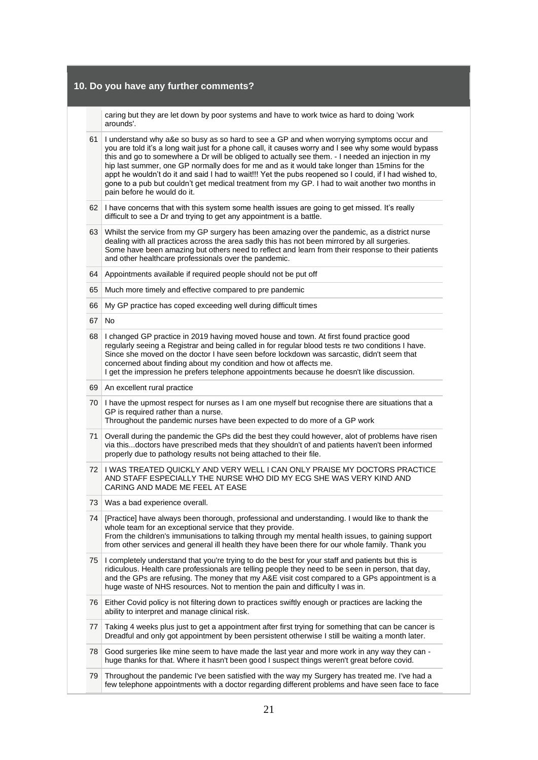# **10. Do you have any further comments?**

caring but they are let down by poor systems and have to work twice as hard to doing 'work arounds'.

| 61 | I understand why a&e so busy as so hard to see a GP and when worrying symptoms occur and<br>you are told it's a long wait just for a phone call, it causes worry and I see why some would bypass<br>this and go to somewhere a Dr will be obliged to actually see them. - I needed an injection in my<br>hip last summer, one GP normally does for me and as it would take longer than 15mins for the<br>appt he wouldn't do it and said I had to wait!!! Yet the pubs reopened so I could, if I had wished to,<br>gone to a pub but couldn't get medical treatment from my GP. I had to wait another two months in<br>pain before he would do it. |
|----|----------------------------------------------------------------------------------------------------------------------------------------------------------------------------------------------------------------------------------------------------------------------------------------------------------------------------------------------------------------------------------------------------------------------------------------------------------------------------------------------------------------------------------------------------------------------------------------------------------------------------------------------------|
| 62 | I have concerns that with this system some health issues are going to get missed. It's really<br>difficult to see a Dr and trying to get any appointment is a battle.                                                                                                                                                                                                                                                                                                                                                                                                                                                                              |
| 63 | Whilst the service from my GP surgery has been amazing over the pandemic, as a district nurse<br>dealing with all practices across the area sadly this has not been mirrored by all surgeries.<br>Some have been amazing but others need to reflect and learn from their response to their patients<br>and other healthcare professionals over the pandemic.                                                                                                                                                                                                                                                                                       |
| 64 | Appointments available if required people should not be put off                                                                                                                                                                                                                                                                                                                                                                                                                                                                                                                                                                                    |
| 65 | Much more timely and effective compared to pre pandemic                                                                                                                                                                                                                                                                                                                                                                                                                                                                                                                                                                                            |
| 66 | My GP practice has coped exceeding well during difficult times                                                                                                                                                                                                                                                                                                                                                                                                                                                                                                                                                                                     |
| 67 | <b>No</b>                                                                                                                                                                                                                                                                                                                                                                                                                                                                                                                                                                                                                                          |
| 68 | I changed GP practice in 2019 having moved house and town. At first found practice good<br>regularly seeing a Registrar and being called in for regular blood tests re two conditions I have.<br>Since she moved on the doctor I have seen before lockdown was sarcastic, didn't seem that<br>concerned about finding about my condition and how ot affects me.<br>I get the impression he prefers telephone appointments because he doesn't like discussion.                                                                                                                                                                                      |
| 69 | An excellent rural practice                                                                                                                                                                                                                                                                                                                                                                                                                                                                                                                                                                                                                        |
| 70 | I have the upmost respect for nurses as I am one myself but recognise there are situations that a<br>GP is required rather than a nurse.<br>Throughout the pandemic nurses have been expected to do more of a GP work                                                                                                                                                                                                                                                                                                                                                                                                                              |
| 71 | Overall during the pandemic the GPs did the best they could however, alot of problems have risen<br>via thisdoctors have prescribed meds that they shouldn't of and patients haven't been informed<br>properly due to pathology results not being attached to their file.                                                                                                                                                                                                                                                                                                                                                                          |
| 72 | I WAS TREATED QUICKLY AND VERY WELL I CAN ONLY PRAISE MY DOCTORS PRACTICE<br>AND STAFF ESPECIALLY THE NURSE WHO DID MY ECG SHE WAS VERY KIND AND<br>CARING AND MADE ME FEEL AT EASE                                                                                                                                                                                                                                                                                                                                                                                                                                                                |
| 73 | Was a bad experience overall.                                                                                                                                                                                                                                                                                                                                                                                                                                                                                                                                                                                                                      |
| 74 | [Practice] have always been thorough, professional and understanding. I would like to thank the<br>whole team for an exceptional service that they provide.<br>From the children's immunisations to talking through my mental health issues, to gaining support<br>from other services and general ill health they have been there for our whole family. Thank you                                                                                                                                                                                                                                                                                 |
| 75 | I completely understand that you're trying to do the best for your staff and patients but this is<br>ridiculous. Health care professionals are telling people they need to be seen in person, that day,<br>and the GPs are refusing. The money that my A&E visit cost compared to a GPs appointment is a<br>huge waste of NHS resources. Not to mention the pain and difficulty I was in.                                                                                                                                                                                                                                                          |
| 76 | Either Covid policy is not filtering down to practices swiftly enough or practices are lacking the<br>ability to interpret and manage clinical risk.                                                                                                                                                                                                                                                                                                                                                                                                                                                                                               |
| 77 | Taking 4 weeks plus just to get a appointment after first trying for something that can be cancer is<br>Dreadful and only got appointment by been persistent otherwise I still be waiting a month later.                                                                                                                                                                                                                                                                                                                                                                                                                                           |
| 78 | Good surgeries like mine seem to have made the last year and more work in any way they can -<br>huge thanks for that. Where it hasn't been good I suspect things weren't great before covid.                                                                                                                                                                                                                                                                                                                                                                                                                                                       |
| 79 | Throughout the pandemic I've been satisfied with the way my Surgery has treated me. I've had a<br>few telephone appointments with a doctor regarding different problems and have seen face to face                                                                                                                                                                                                                                                                                                                                                                                                                                                 |